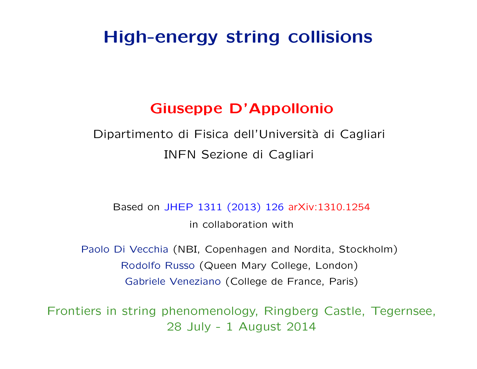# High-energy string collisions

# Giuseppe D'Appollonio

Dipartimento di Fisica dell'Università di Cagliari INFN Sezione di Cagliari

Based on JHEP 1311 (2013) 126 arXiv:1310.1254 in collaboration with

Paolo Di Vecchia (NBI, Copenhagen and Nordita, Stockholm) Rodolfo Russo (Queen Mary College, London) Gabriele Veneziano (College de France, Paris)

Frontiers in string phenomenology, Ringberg Castle, Tegernsee, 28 July - 1 August 2014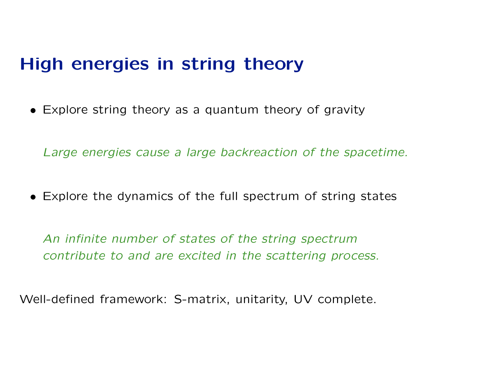# High energies in string theory

• Explore string theory as a quantum theory of gravity

Large energies cause a large backreaction of the spacetime.

• Explore the dynamics of the full spectrum of string states

An infinite number of states of the string spectrum contribute to and are excited in the scattering process.

Well-defined framework: S-matrix, unitarity, UV complete.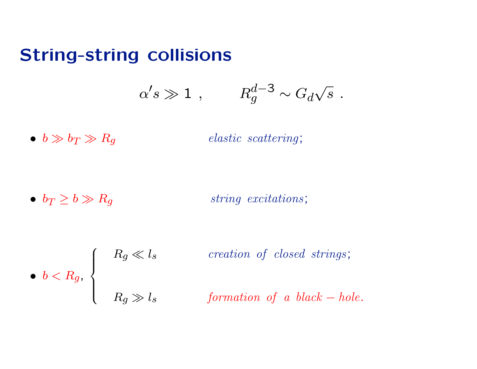# String-string collisions

$$
\alpha' s \gg 1 \ , \qquad \ R_g^{d-3} \sim G_d \sqrt{s} \ .
$$

•  $b \gg b_T \gg R_g$  elastic scattering;

•  $b_T \ge b \gg R_g$  string excitations;

\n- $$
b < R_g
$$
,
\n- $R_g \ll l_s$  creation of closed strings;
\n- $R_g \gg l_s$  formation of a black-hole.
\n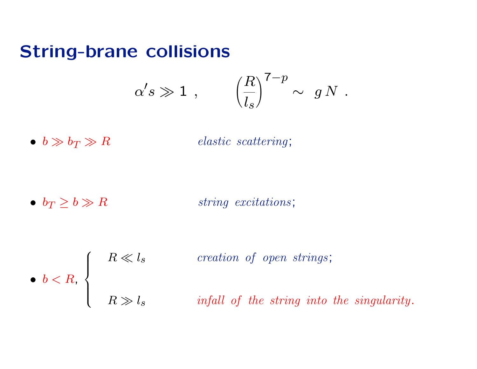# String-brane collisions

$$
\alpha' s \gg 1 \ , \qquad \left( \frac{R}{l_s} \right)^{7-p} \sim \ g \, N \ .
$$

•  $b \gg b_T \gg R$  elastic scattering;

•  $b_T \geq b \gg R$  string excitations;

\n- $$
b < R
$$
,  $\left\{\n \begin{array}{ccc}\n & R \ll l_s & \text{creation of open strings;} \\
& R \gg l_s & \text{infall of the string into the singularity.}\n \end{array}\n \right.$ \n
\n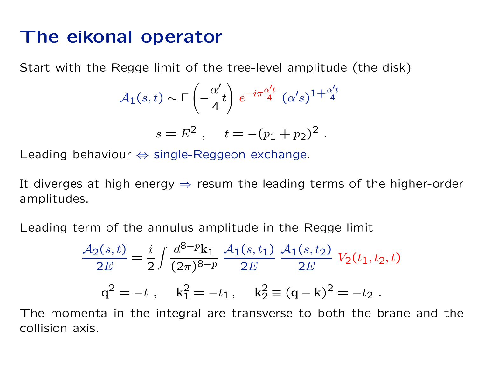# The eikonal operator

Start with the Regge limit of the tree-level amplitude (the disk)

$$
\mathcal{A}_1(s,t) \sim \Gamma\left(-\frac{\alpha'}{4}t\right) e^{-i\pi \frac{\alpha' t}{4}} (\alpha' s)^{1+\frac{\alpha' t}{4}}
$$

$$
s = E^2, \quad t = -(p_1 + p_2)^2.
$$

$$
Leading\ behavior \Leftrightarrow single-Reggeon\ exchange.
$$

It diverges at high energy  $\Rightarrow$  resum the leading terms of the higher-order amplitudes.

Leading term of the annulus amplitude in the Regge limit

$$
\frac{\mathcal{A}_2(s,t)}{2E} = \frac{i}{2} \int \frac{d^{8-p} \mathbf{k}_1}{(2\pi)^{8-p}} \frac{\mathcal{A}_1(s,t_1)}{2E} \frac{\mathcal{A}_1(s,t_2)}{2E} V_2(t_1,t_2,t)
$$
  

$$
\mathbf{q}^2 = -t \ , \quad \mathbf{k}_1^2 = -t_1 \ , \quad \mathbf{k}_2^2 \equiv (\mathbf{q} - \mathbf{k})^2 = -t_2 \ .
$$

The momenta in the integral are transverse to both the brane and the collision axis.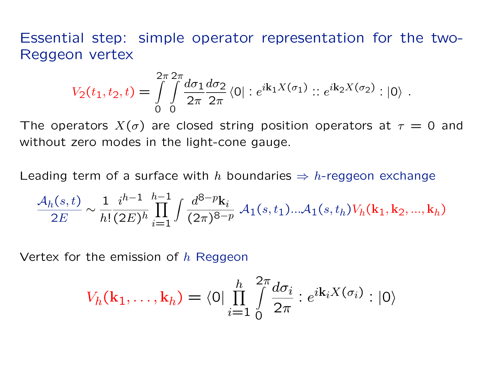Essential step: simple operator representation for the two-Reggeon vertex

$$
V_2(t_1, t_2, t) = \int\limits_{0}^{2\pi} \int\limits_{0}^{2\pi} \frac{d\sigma_1}{2\pi} \frac{d\sigma_2}{2\pi} \langle 0 | : e^{i\mathbf{k}_1 X(\sigma_1)} : : e^{i\mathbf{k}_2 X(\sigma_2)} : |0\rangle.
$$

The operators  $X(\sigma)$  are closed string position operators at  $\tau = 0$  and without zero modes in the light-cone gauge.

Leading term of a surface with h boundaries  $\Rightarrow$  h-reggeon exchange

$$
\frac{\mathcal{A}_h(s,t)}{2E} \sim \frac{1}{h!} \frac{i^{h-1}}{(2E)^h} \prod_{i=1}^{h-1} \int \frac{d^{8-p} \mathbf{k}_i}{(2\pi)^{8-p}} \mathcal{A}_1(s,t_1) \dots \mathcal{A}_1(s,t_h) V_h(\mathbf{k}_1, \mathbf{k}_2, ..., \mathbf{k}_h)
$$

Vertex for the emission of  $h$  Reggeon

$$
V_h(\mathbf{k}_1,\ldots,\mathbf{k}_h) = \langle 0 | \prod_{i=1}^h \int_0^{2\pi} \frac{d\sigma_i}{2\pi} : e^{i\mathbf{k}_i X(\sigma_i)} : |0\rangle
$$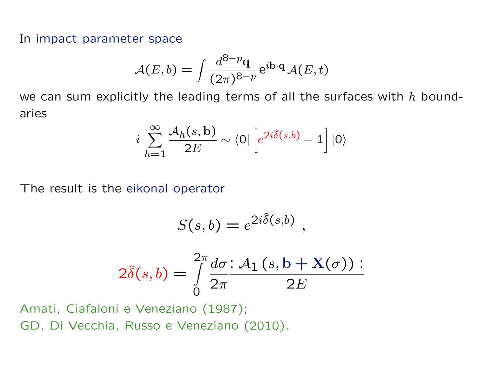In impact parameter space

$$
\mathcal{A}(E,b) = \int \frac{d^{8-p} \mathbf{q}}{(2\pi)^{8-p}} e^{i\mathbf{b} \cdot \mathbf{q}} \mathcal{A}(E,t)
$$

we can sum explicitly the leading terms of all the surfaces with  $h$  boundaries

$$
i\sum_{h=1}^{\infty} \frac{A_h(s, b)}{2E} \sim \langle 0 | \left[ e^{2i\hat{\delta}(s, b)} - 1 \right] | 0 \rangle
$$

The result is the eikonal operator

$$
S(s,b) = e^{2i\hat{\delta}(s,b)},
$$
  

$$
2\pi d\tau \cdot A \cdot (ab + \mathbf{Y})
$$

$$
2\widehat{\delta}(s,b) = \int\limits_{0}^{2\pi} \frac{d\sigma}{2\pi} \frac{A_1(s,b+X(\sigma))}{2E}.
$$

Amati, Ciafaloni e Veneziano (1987); GD, Di Vecchia, Russo e Veneziano (2010).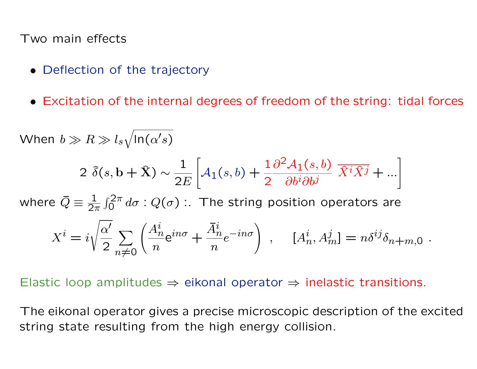Two main effects

- Deflection of the trajectory
- Excitation of the internal degrees of freedom of the string: tidal forces

When 
$$
b \gg R \gg l_s \sqrt{\ln(\alpha's)}
$$
  
\n
$$
2 \hat{\delta}(s, b + \hat{X}) \sim \frac{1}{2E} \left[ A_1(s, b) + \frac{1}{2} \frac{\partial^2 A_1(s, b)}{\partial b^i \partial b^j} \overline{\hat{X}^i \hat{X}^j} + ... \right]
$$
\nwhere  $\overline{Q} = \frac{1}{2\pi} \int_0^{2\pi} d\sigma : Q(\sigma)$ : The string position operators are\n
$$
X^i = i \sqrt{\frac{\alpha'}{2}} \sum_{n \neq 0} \left( \frac{A_n^i}{n} e^{in\sigma} + \frac{\overline{A}_n^i}{n} e^{-in\sigma} \right), \quad [A_n^i, A_m^j] = n \delta^{ij} \delta_{n+m,0} .
$$

Elastic loop amplitudes  $\Rightarrow$  eikonal operator  $\Rightarrow$  inelastic transitions.

The eikonal operator gives a precise microscopic description of the excited string state resulting from the high energy collision.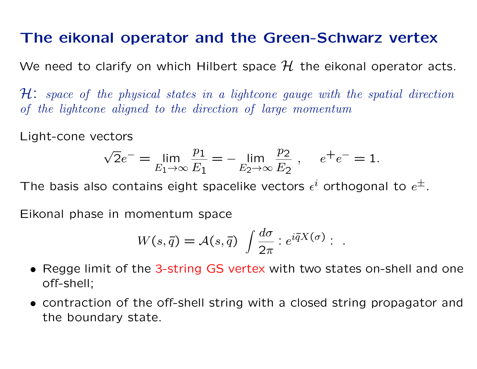# The eikonal operator and the Green-Schwarz vertex

We need to clarify on which Hilbert space  $\mathcal H$  the eikonal operator acts.

 $H: space of the physical states in a lightcone gauge with the spatial direction$ of the lightcone aligned to the direction of large momentum

Light-cone vectors

$$
\sqrt{2}e^{-} = \lim_{E_1 \to \infty} \frac{p_1}{E_1} = -\lim_{E_2 \to \infty} \frac{p_2}{E_2}, \quad e^{+}e^{-} = 1.
$$

The basis also contains eight spacelike vectors  $\epsilon^i$  orthogonal to  $e^\pm$ .

Eikonal phase in momentum space

$$
W(s,\bar{q}) = \mathcal{A}(s,\bar{q}) \int \frac{d\sigma}{2\pi} :e^{i\bar{q}X(\sigma)}: .
$$

- Regge limit of the 3-string GS vertex with two states on-shell and one off-shell;
- contraction of the off-shell string with a closed string propagator and the boundary state.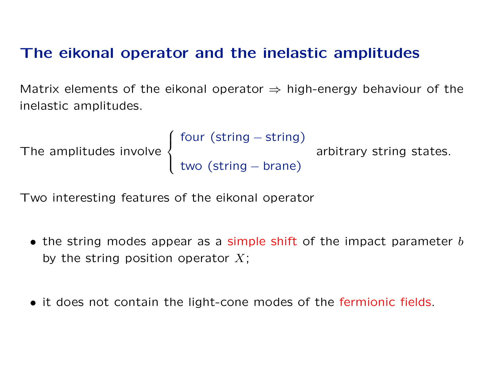# The eikonal operator and the inelastic amplitudes

Matrix elements of the eikonal operator  $\Rightarrow$  high-energy behaviour of the inelastic amplitudes.

```
The amplitudes involve
                               \int\int\overline{\mathcal{L}}four (string – string)
                                  two (string – brane)
                                                                arbitrary string states.
```
Two interesting features of the eikonal operator

- the string modes appear as a simple shift of the impact parameter  $b$ by the string position operator  $X$ ;
- it does not contain the light-cone modes of the fermionic fields.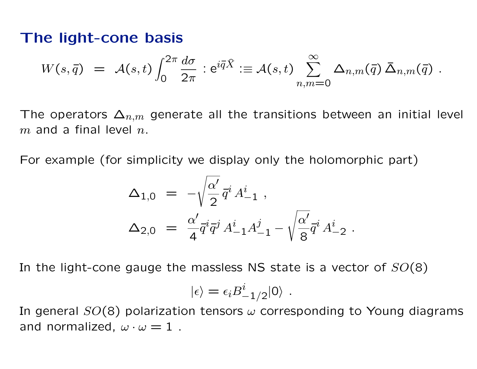## The light-cone basis

$$
W(s,\bar{q}) = \mathcal{A}(s,t) \int_0^{2\pi} \frac{d\sigma}{2\pi} : e^{i\bar{q}\hat{X}} := \mathcal{A}(s,t) \sum_{n,m=0}^{\infty} \Delta_{n,m}(\bar{q}) \bar{\Delta}_{n,m}(\bar{q}) .
$$

The operators  $\Delta_{n,m}$  generate all the transitions between an initial level  $m$  and a final level  $n$ .

For example (for simplicity we display only the holomorphic part)

$$
\Delta_{1,0} = -\sqrt{\frac{\alpha'}{2}} \vec{q}^i A^i_{-1} ,
$$
  
\n
$$
\Delta_{2,0} = \frac{\alpha'}{4} \vec{q}^i \vec{q}^j A^i_{-1} A^j_{-1} - \sqrt{\frac{\alpha'}{8}} \vec{q}^i A^i_{-2} .
$$

In the light-cone gauge the massless NS state is a vector of  $SO(8)$ 

$$
|\epsilon\rangle=\epsilon_i B^i_{-1/2}|0\rangle\ .
$$

In general  $SO(8)$  polarization tensors  $\omega$  corresponding to Young diagrams and normalized,  $\omega \cdot \omega = 1$ .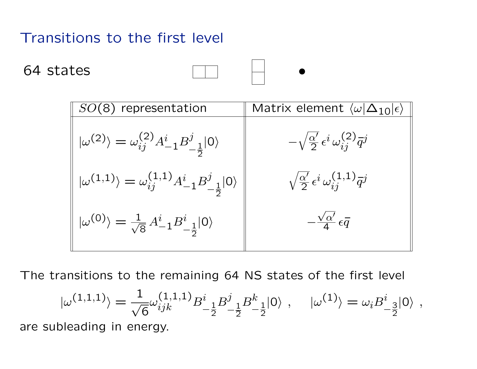# Transitions to the first level

64 states



| $SO(8)$ representation                                                              | Matrix element $\langle \omega   \Delta_{10}   \epsilon \rangle$    |
|-------------------------------------------------------------------------------------|---------------------------------------------------------------------|
| $ \omega^{(2)}\rangle = \omega_{ij}^{(2)} A^i_{-1} B^j_{-\frac{1}{2}} 0\rangle$     | $-\sqrt{\frac{\alpha'}{2}}\,\epsilon^i\,\omega^{(2)}_{ij}\bar q^j$  |
| $ \omega^{(1,1)}\rangle = \omega_{ij}^{(1,1)} A^i_{-1} B^j_{-\frac{1}{2}} 0\rangle$ | $\sqrt{\frac{\alpha'}{2}} \epsilon^i \omega_{ij}^{(1,1)} \bar{q}^j$ |
| $ \omega^{(0)}\rangle = \frac{1}{\sqrt{8}} A^i_{-1} B^i_{-\frac{1}{2}}  0\rangle$   | $-\frac{\sqrt{\alpha'}}{4} \epsilon \overline{q}$                   |

The transitions to the remaining 64 NS states of the first level

$$
|\omega^{(1,1,1)}\rangle=\frac{1}{\sqrt{6}}\omega^{(1,1,1)}_{ijk}B^i_{-\frac{1}{2}}B^j_{-\frac{1}{2}}B^k_{-\frac{1}{2}}|0\rangle\ ,\quad |\omega^{(1)}\rangle=\omega_iB^i_{-\frac{3}{2}}|0\rangle\ ,
$$

are subleading in energy.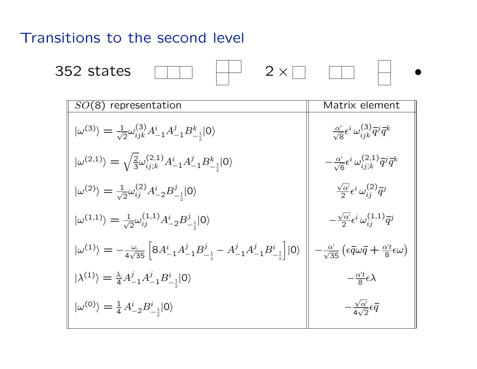### Transitions to the second level

$$
\begin{array}{c|c|c|c|c} \hline \text{ } & \text{ } & \text{ } & \text{ } \\ \hline \end{array}
$$

352 states  $\Box$   $\begin{array}{|c|c|c|c|c|}\n\hline\n\vdots & \ddots & \ddots & \Box\end{array}$   $\begin{array}{|c|c|c|c|c|}\n\hline\n\vdots & \ddots & \ddots & \Box\end{array}$ 

| $SO(8)$ representation                                                                                                                                   | Matrix element                                                                                         |
|----------------------------------------------------------------------------------------------------------------------------------------------------------|--------------------------------------------------------------------------------------------------------|
| $ \omega^{(3)}\rangle = \frac{1}{\sqrt{2}} \omega^{(3)}_{ijk} A^i_{-1} A^j_{-1} B^k_{-\frac{1}{2}}  0\rangle$                                            | $\frac{\alpha'}{\sqrt{8}}\epsilon^i\,\omega^{(3)}_{i\,j\,k}\bar q^j\bar q^k$                           |
| $ \omega^{(2,1)}\rangle = \sqrt{\frac{2}{3}} \omega_{ij;k}^{(2,1)} A^i_{-1} A^j_{-1} B^k_{-\frac{1}{2}}  0\rangle$                                       | $-\frac{\alpha'}{\sqrt{6}}\epsilon^i\,\omega^{(2,1)}_{i\,;\,k}\bar q^j\bar q^k$                        |
| $ \omega^{(2)}\rangle = \frac{1}{\sqrt{2}}\omega_{ij}^{(2)}A_{-2}^{i}B_{-\frac{1}{2}}^{j} 0\rangle$                                                      | $\frac{\sqrt{\alpha'}}{2} \epsilon^i \omega_{ii}^{(2)} \overline{q}^j$                                 |
| $ \omega^{(1,1)}\rangle = \frac{1}{\sqrt{2}}\omega_{ij}^{(1,1)}A^i_{-2}B^j_{-1} 0\rangle$                                                                | $-\frac{\sqrt{\alpha'}}{2} \epsilon^i \omega_{ij}^{(1,1)} \bar{q}^j$                                   |
| $\ket{\omega^{(1)}} = -\frac{\omega_i}{4\sqrt{35}} \left[ 8 A^i_{-1} A^j_{-1} B^j_{-\frac{1}{2}} - A^j_{-1} A^j_{-1} B^i_{-\frac{1}{2}} \right] \ket{0}$ | $-\frac{\alpha'}{\sqrt{35}}\left(\epsilon\bar{q}\omega\bar{q}+\frac{\alpha't}{8}\epsilon\omega\right)$ |
| $ \lambda^{(1)}\rangle=\frac{\lambda_i}{4}A^j_{-1}A^j_{-1}B^i_{-\frac{1}{2}} 0\rangle$                                                                   | $-\frac{\alpha' t}{8} \epsilon \lambda$                                                                |
| $ \omega^{(0)}\rangle = \frac{1}{4} A^i_{-2} B^i_{-\frac{1}{2}}  0\rangle$                                                                               | $-\frac{\sqrt{\alpha'}}{4\sqrt{2}}\epsilon\overline{q}$                                                |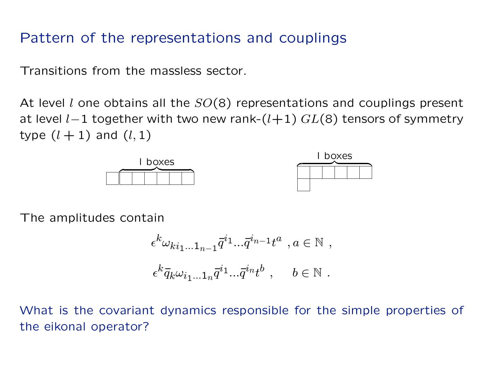# Pattern of the representations and couplings

Transitions from the massless sector.

At level l one obtains all the  $SO(8)$  representations and couplings present at level  $l-1$  together with two new rank- $(l+1)$   $GL(8)$  tensors of symmetry type  $(l + 1)$  and  $(l, 1)$ 





The amplitudes contain

$$
\epsilon^{k} \omega_{ki_1...1_{n-1}} \overline{q}^{i_1} ... \overline{q}^{i_{n-1}} t^a , a \in \mathbb{N} ,
$$
  

$$
\epsilon^{k} \overline{q}_k \omega_{i_1...1_n} \overline{q}^{i_1} ... \overline{q}^{i_n} t^b , \quad b \in \mathbb{N} .
$$

What is the covariant dynamics responsible for the simple properties of the eikonal operator?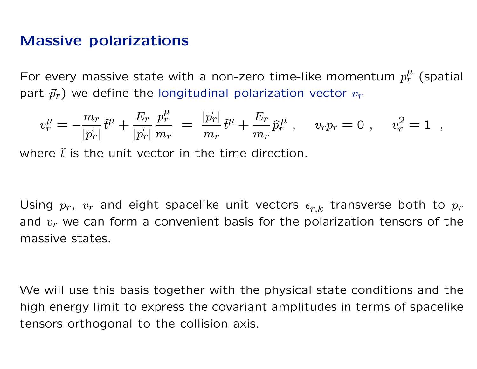## Massive polarizations

For every massive state with a non-zero time-like momentum  $p_r^{\mu}$  (spatial part  $\vec{p}_r$ ) we define the longitudinal polarization vector  $v_r$ 

$$
v_r^{\mu} = -\frac{m_r}{|\vec{p}_r|} \hat{t}^{\mu} + \frac{E_r}{|\vec{p}_r|} \frac{p_r^{\mu}}{m_r} = \frac{|\vec{p}_r|}{m_r} \hat{t}^{\mu} + \frac{E_r}{m_r} \hat{p}_r^{\mu} , \quad v_r p_r = 0 , \quad v_r^2 = 1 ,
$$

where  $\hat{t}$  is the unit vector in the time direction.

Using  $p_r$ ,  $v_r$  and eight spacelike unit vectors  $\epsilon_{r,k}$  transverse both to  $p_r$ and  $v_r$  we can form a convenient basis for the polarization tensors of the massive states.

We will use this basis together with the physical state conditions and the high energy limit to express the covariant amplitudes in terms of spacelike tensors orthogonal to the collision axis.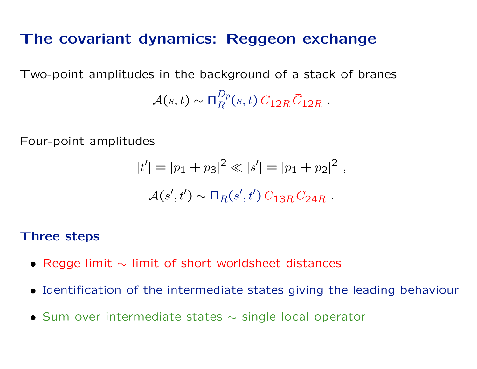## The covariant dynamics: Reggeon exchange

Two-point amplitudes in the background of a stack of branes

 $\mathcal{A}(s,t)\sim \mathsf{\Pi}_{B}^{Dp}$  $_{R}^{Dp}(s,t) \, C_{12R} \, \bar{C}_{12R} \,\, .$ 

Four-point amplitudes

$$
|t'| = |p_1 + p_3|^2 \ll |s'| = |p_1 + p_2|^2,
$$
  

$$
\mathcal{A}(s', t') \sim \prod_R(s', t') C_{13R} C_{24R}.
$$

#### Three steps

- Regge limit  $\sim$  limit of short worldsheet distances
- Identification of the intermediate states giving the leading behaviour
- Sum over intermediate states  $\sim$  single local operator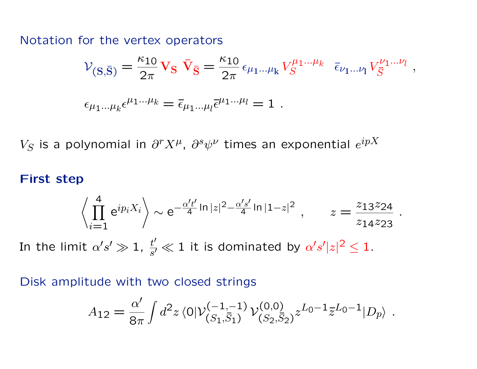Notation for the vertex operators

$$
\mathcal{V}_{(S,\bar{S})} = \frac{\kappa_{10}}{2\pi} V_S \bar{V}_{\bar{S}} = \frac{\kappa_{10}}{2\pi} \epsilon_{\mu_1...\mu_k} V_S^{\mu_1...\mu_k} \bar{\epsilon}_{\nu_1...\nu_l} V_{\bar{S}}^{\nu_1...\nu_l},
$$
  

$$
\epsilon_{\mu_1...\mu_k} \epsilon^{\mu_1...\mu_k} = \bar{\epsilon}_{\mu_1...\mu_l} \bar{\epsilon}^{\mu_1...\mu_l} = 1.
$$

 $V_S$  is a polynomial in  $\partial^r X^{\mu}$ ,  $\partial^s \psi^{\nu}$  times an exponential  $e^{ipX}$ 

#### First step

$$
\left\langle \prod_{i=1}^4 e^{ip_i X_i} \right\rangle \sim e^{-\frac{\alpha' t'}{4} \ln |z|^2 - \frac{\alpha' s'}{4} \ln |1-z|^2}, \qquad z = \frac{z_{13} z_{24}}{z_{14} z_{23}}
$$

.

In the limit  $\alpha' s' \gg 1$ ,  $\frac{t'}{s'}$  $\frac{t'}{s'} \ll 1$  it is dominated by  $\alpha' s' |z|^2 \leq 1$ .

Disk amplitude with two closed strings

$$
A_{12} = \frac{\alpha'}{8\pi} \int d^2 z \langle 0 | \mathcal{V}_{(S_1, \overline{S}_1)}^{(-1, -1)} \mathcal{V}_{(S_2, \overline{S}_2)}^{(0, 0)} z^{L_0 - 1} \overline{z}^{L_0 - 1} | D_p \rangle .
$$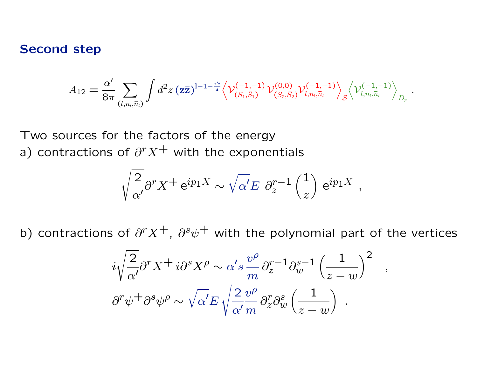#### Second step

$$
A_{12} = \frac{\alpha'}{8\pi} \sum_{(l,n_l,\bar{n}_l)} \int d^2z \, (\mathbf{z} \bar{\mathbf{z}})^{l-1-\frac{\alpha' \mathbf{t}}{4}} \Big\langle \mathcal{V}_{(S_1,\bar{S}_1)}^{(-1,-1)} \, \mathcal{V}_{(S_2,\bar{S}_2)}^{(0,0)} \mathcal{V}_{l,n_l,\bar{n}_l}^{(-1,-1)} \Big\rangle_{\mathcal{S}} \Big\langle \mathcal{V}_{l,n_l,\bar{n}_l}^{(-1,-1)} \Big\rangle_{D_p}
$$

.

Two sources for the factors of the energy a) contractions of  $\partial^r X^+$  with the exponentials

$$
\sqrt{\frac{2}{\alpha'}} \partial^r X^+ e^{ip_1 X} \sim \sqrt{\alpha'} E \ \partial_z^{r-1} \left(\frac{1}{z}\right) e^{ip_1 X} ,
$$

b) contractions of  $\partial^r X^+$ ,  $\partial^s \psi^+$  with the polynomial part of the vertices

$$
i\sqrt{\frac{2}{\alpha'}}\partial^r X^+ i\partial^s X^\rho \sim \alpha' s \frac{v^\rho}{m} \partial_z^{r-1} \partial_w^{s-1} \left(\frac{1}{z-w}\right)^2 ,
$$
  

$$
\partial^r \psi^+ \partial^s \psi^\rho \sim \sqrt{\alpha'} E \sqrt{\frac{2}{\alpha'} \frac{v^\rho}{m}} \partial_z^r \partial_w^s \left(\frac{1}{z-w}\right) .
$$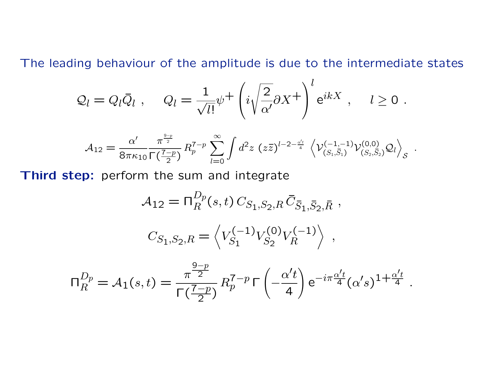The leading behaviour of the amplitude is due to the intermediate states

$$
Q_l = Q_l \bar{Q}_l , \quad Q_l = \frac{1}{\sqrt{l!}} \psi^+ \left( i \sqrt{\frac{2}{\alpha'}} \partial X^+ \right)^l e^{ikX} , \quad l \ge 0 .
$$

$$
\mathcal{A}_{12} = \frac{\alpha'}{8\pi\kappa_{10}} \frac{\pi^{\frac{9-p}{2}}}{\Gamma(\frac{7-p}{2})} R_p^{7-p} \sum_{l=0}^{\infty} \int d^2z \ (z\bar{z})^{l-2-\frac{\alpha' t}{4}} \left\langle \mathcal{V}_{(S_1,\bar{S}_1)}^{(-1,-1)} \mathcal{V}_{(S_2,\bar{S}_2)}^{(0,0)} \mathcal{Q}_l \right\rangle_{\mathcal{S}} \ .
$$

Third step: perform the sum and integrate

$$
\mathcal{A}_{12} = \nabla_R^{D_p}(s, t) C_{S_1, S_2, R} \bar{C}_{\bar{S}_1, \bar{S}_2, \bar{R}} ,
$$
  

$$
C_{S_1, S_2, R} = \left\langle V_{S_1}^{(-1)} V_{S_2}^{(0)} V_R^{(-1)} \right\rangle ,
$$

$$
\Pi_R^{D_p} = A_1(s,t) = \frac{\pi^{\frac{9-p}{2}}}{\Gamma(\frac{7-p}{2})} R_p^{7-p} \Gamma\left(-\frac{\alpha' t}{4}\right) e^{-i\pi \frac{\alpha' t}{4}} (\alpha' s)^{1+\frac{\alpha' t}{4}}.
$$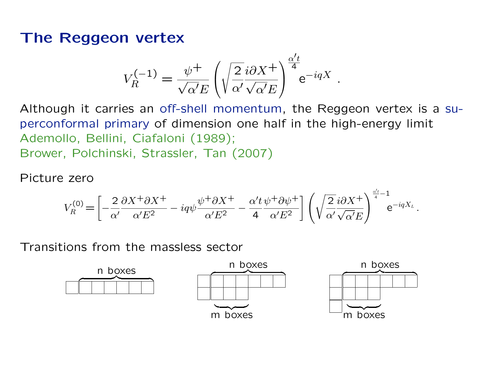# The Reggeon vertex

$$
V_R^{(-1)} = \frac{\psi^+}{\sqrt{\alpha'}E} \left( \sqrt{\frac{2}{\alpha'} \frac{i \partial X^+}{\sqrt{\alpha'}E}} \right)^{\frac{\alpha' t}{4}} e^{-iqX} .
$$

Although it carries an off-shell momentum, the Reggeon vertex is a superconformal primary of dimension one half in the high-energy limit Ademollo, Bellini, Ciafaloni (1989); Brower, Polchinski, Strassler, Tan (2007)

Picture zero

$$
V_R^{(0)} = \left[ -\frac{2}{\alpha'} \frac{\partial X^+ \partial X^+}{\alpha' E^2} - iq\psi \frac{\psi^+ \partial X^+}{\alpha' E^2} - \frac{\alpha' t}{4} \frac{\psi^+ \partial \psi^+}{\alpha' E^2} \right] \left( \sqrt{\frac{2}{\alpha'} i \partial X^+} \right)^{\frac{\alpha' t}{4} - 1} e^{-iqX_L}.
$$

Transitions from the massless sector

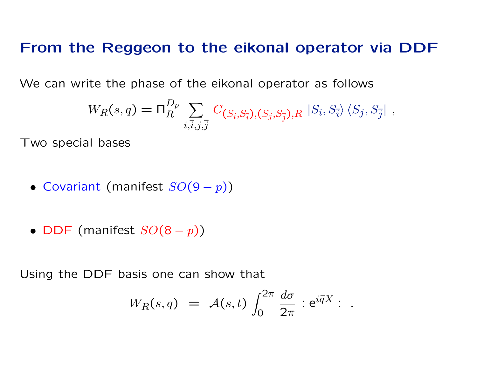### From the Reggeon to the eikonal operator via DDF

We can write the phase of the eikonal operator as follows

$$
W_R(s,q) = \Pi_R^{D_p} \sum_{i,\overline{i},j,\overline{j}} C_{(S_i,S_{\overline{i}}), (S_j,S_{\overline{j}}),R} |S_i, S_{\overline{i}}\rangle \langle S_j, S_{\overline{j}}|,
$$

Two special bases

- Covariant (manifest  $SO(9-p)$ )
- DDF (manifest  $SO(8-p)$ )

Using the DDF basis one can show that

$$
W_R(s,q) = \mathcal{A}(s,t) \int_0^{2\pi} \frac{d\sigma}{2\pi} : e^{i\overline{q}X} : .
$$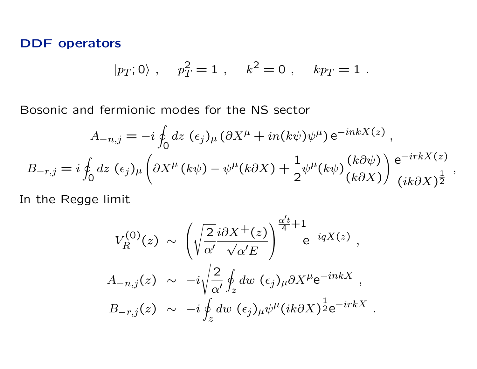#### DDF operators

$$
|p_T; 0\rangle
$$
,  $p_T^2 = 1$ ,  $k^2 = 0$ ,  $kp_T = 1$ .

Bosonic and fermionic modes for the NS sector

$$
A_{-n,j} = -i \oint_0 dz \, (\epsilon_j)_{\mu} (\partial X^{\mu} + in(k\psi)\psi^{\mu}) e^{-inkX(z)},
$$
  

$$
B_{-r,j} = i \oint_0 dz \, (\epsilon_j)_{\mu} \left( \partial X^{\mu} (k\psi) - \psi^{\mu} (k\partial X) + \frac{1}{2} \psi^{\mu} (k\psi) \frac{(k\partial \psi)}{(k\partial X)} \right) \frac{e^{-irkX(z)}}{(ik\partial X)^{\frac{1}{2}}},
$$

In the Regge limit

$$
V_R^{(0)}(z) \sim \left(\sqrt{\frac{2}{\alpha'}} \frac{i\partial X^+(z)}{\sqrt{\alpha'}E}\right)^{\frac{\alpha'}{4}+1} e^{-iqX(z)},
$$
  

$$
A_{-n,j}(z) \sim -i\sqrt{\frac{2}{\alpha'}} \oint_z dw \ (\epsilon_j)_{\mu} \partial X^{\mu} e^{-inkX},
$$
  

$$
B_{-r,j}(z) \sim -i\oint_z dw \ (\epsilon_j)_{\mu} \psi^{\mu} (ik\partial X)^{\frac{1}{2}} e^{-irkX}.
$$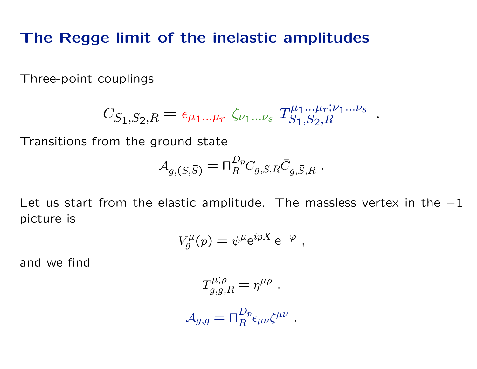## The Regge limit of the inelastic amplitudes

Three-point couplings

$$
C_{S_1, S_2, R} = \epsilon_{\mu_1...\mu_r} \zeta_{\nu_1...\nu_s} T_{S_1, S_2, R}^{\mu_1...\mu_r; \nu_1...\nu_s}.
$$

Transitions from the ground state

$$
\mathcal{A}_{g,(S,\overline{S})} = \Pi_R^{D_p} C_{g,S,R} \overline{C}_{g,\overline{S},R} .
$$

Let us start from the elastic amplitude. The massless vertex in the  $-1$ picture is

$$
V_g^{\mu}(p) = \psi^{\mu} e^{ipX} e^{-\varphi} ,
$$

and we find

$$
T^{\mu;\rho}_{g,g,R} = \eta^{\mu\rho} .
$$

$$
A_{g,g} = \Pi_R^{D_p} \epsilon_{\mu\nu} \zeta^{\mu\nu}
$$

.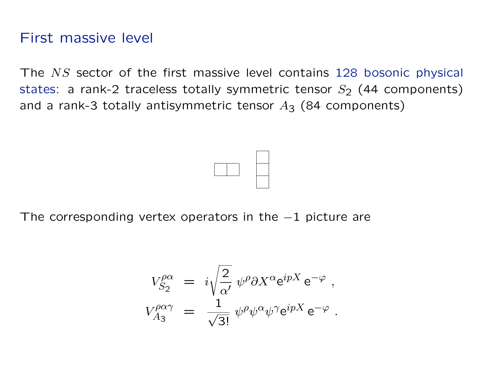# First massive level

The NS sector of the first massive level contains 128 bosonic physical states: a rank-2 traceless totally symmetric tensor  $S_2$  (44 components) and a rank-3 totally antisymmetric tensor  $A_3$  (84 components)



The corresponding vertex operators in the  $-1$  picture are

$$
V^{\rho\alpha}_{S_2} = i\sqrt{\frac{2}{\alpha'}} \psi^{\rho} \partial X^{\alpha} e^{ipX} e^{-\varphi} ,
$$
  

$$
V^{\rho\alpha\gamma}_{A_3} = \frac{1}{\sqrt{3!}} \psi^{\rho} \psi^{\alpha} \psi^{\gamma} e^{ipX} e^{-\varphi} .
$$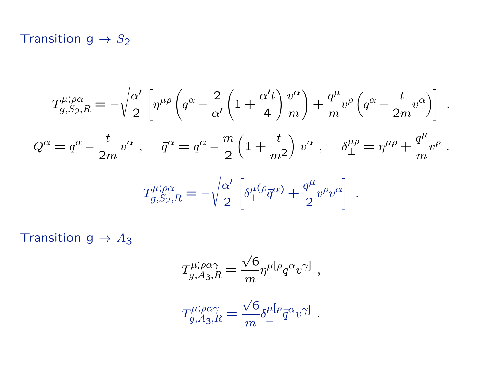### Transition  $g \rightarrow S_2$

$$
T_{g,S_2,R}^{\mu;\rho\alpha} = -\sqrt{\frac{\alpha'}{2}} \left[ \eta^{\mu\rho} \left( q^{\alpha} - \frac{2}{\alpha'} \left( 1 + \frac{\alpha' t}{4} \right) \frac{v^{\alpha}}{m} \right) + \frac{q^{\mu}}{m} v^{\rho} \left( q^{\alpha} - \frac{t}{2m} v^{\alpha} \right) \right]
$$
  

$$
Q^{\alpha} = q^{\alpha} - \frac{t}{2m} v^{\alpha} , \quad \bar{q}^{\alpha} = q^{\alpha} - \frac{m}{2} \left( 1 + \frac{t}{m^2} \right) v^{\alpha} , \quad \delta_{\perp}^{\mu\rho} = \eta^{\mu\rho} + \frac{q^{\mu}}{m} v^{\rho}
$$
  

$$
T_{g,S_2,R}^{\mu;\rho\alpha} = -\sqrt{\frac{\alpha'}{2}} \left[ \delta_{\perp}^{\mu(\rho} \bar{q}^{\alpha)} + \frac{q^{\mu}}{2} v^{\rho} v^{\alpha} \right] .
$$

.

.

Transition  $g \to A_3$ 

$$
T^{\mu; \rho\alpha\gamma}_{g,A_3,R} = \frac{\sqrt{6}}{m} \eta^{\mu} [\rho_q \alpha_v \gamma] ,
$$

$$
T^{\mu;\rho\alpha\gamma}_{g,A_3,R} = \frac{\sqrt{6}}{m} \delta^{\mu}_{\perp} [\rho_{\overline{q}} \alpha_v \gamma] .
$$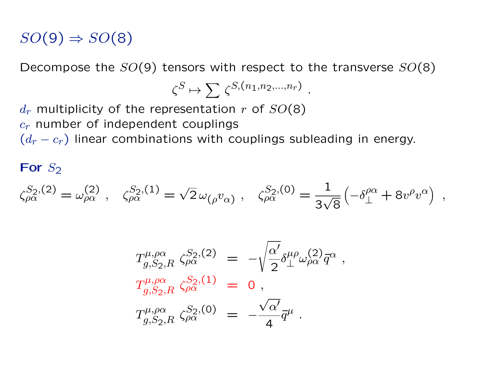# $SO(9) \Rightarrow SO(8)$

Decompose the  $SO(9)$  tensors with respect to the transverse  $SO(8)$ 

$$
\zeta^S \mapsto \sum \zeta^{S,(n_1,n_2,\ldots,n_r)}
$$

.

 $d_r$  multiplicity of the representation r of  $SO(8)$  $c_r$  number of independent couplings  $(d_r - c_r)$  linear combinations with couplings subleading in energy.

#### For  $S_2$

$$
\zeta_{\rho\alpha}^{S_2,(2)} = \omega_{\rho\alpha}^{(2)} \; , \ \ \, \zeta_{\rho\alpha}^{S_2,(1)} = \sqrt{2} \, \omega_{(\rho} v_{\alpha)} \; , \ \ \, \zeta_{\rho\alpha}^{S_2,(0)} = \frac{1}{3\sqrt{8}} \left( -\delta^{\rho\alpha}_{\perp} + 8v^{\rho}v^{\alpha} \right) \; ,
$$

$$
T^{\mu,\rho\alpha}_{g,S_2,R} \zeta^{S_2,(2)}_{\rho\alpha} = -\sqrt{\frac{\alpha'}{2}} \delta^{\mu\rho}_{\perp} \omega^{(2)}_{\rho\alpha} \bar{q}^{\alpha} ,
$$
  
\n
$$
T^{\mu,\rho\alpha}_{g,S_2,R} \zeta^{S_2,(1)}_{\rho\alpha} = 0 ,
$$
  
\n
$$
T^{\mu,\rho\alpha}_{g,S_2,R} \zeta^{S_2,(0)}_{\rho\alpha} = -\frac{\sqrt{\alpha'}}{4} \bar{q}^{\mu} .
$$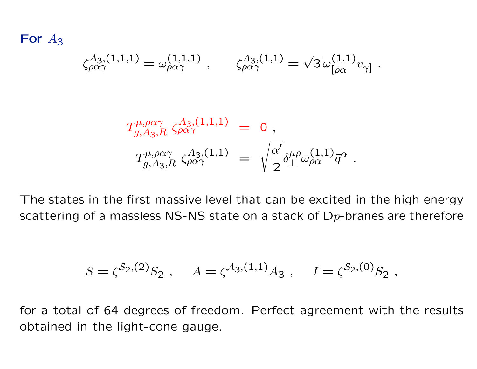For  $A_3$ 

$$
\zeta_{\rho\alpha\gamma}^{A_{3},(1,1,1)} = \omega_{\rho\alpha\gamma}^{(1,1,1)} , \qquad \zeta_{\rho\alpha\gamma}^{A_{3},(1,1)} = \sqrt{3} \,\omega_{[\rho\alpha}^{(1,1)} v_{\gamma]} .
$$

$$
T^{\mu,\rho\alpha\gamma}_{g,A_3,R}\zeta^{A_3,(1,1,1)}_{\rho\alpha\gamma} = 0,
$$
  

$$
T^{\mu,\rho\alpha\gamma}_{g,A_3,R}\zeta^{A_3,(1,1)}_{\rho\alpha\gamma} = \sqrt{\frac{\alpha'}{2}}\delta^{\mu\rho}_{\perp}\omega^{(1,1)}_{\rho\alpha}\bar{q}^{\alpha}.
$$

The states in the first massive level that can be excited in the high energy scattering of a massless NS-NS state on a stack of  $D_p$ -branes are therefore

$$
S = \zeta^{\mathcal{S}_2, (2)} S_2 , \quad A = \zeta^{\mathcal{A}_3, (1,1)} A_3 , \quad I = \zeta^{\mathcal{S}_2, (0)} S_2 ,
$$

for a total of 64 degrees of freedom. Perfect agreement with the results obtained in the light-cone gauge.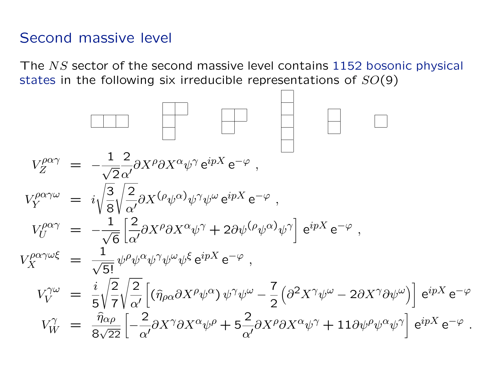## Second massive level

The NS sector of the second massive level contains 1152 bosonic physical states in the following six irreducible representations of  $SO(9)$ 

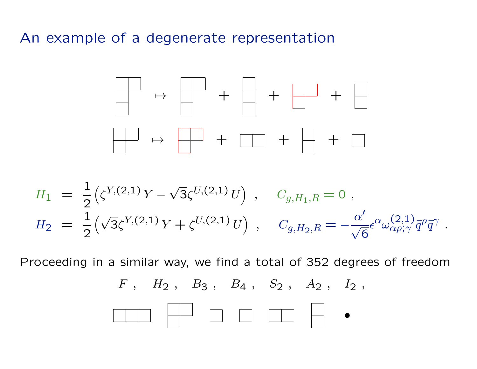### An example of a degenerate representation



$$
H_1 = \frac{1}{2} (\zeta^{Y,(2,1)} Y - \sqrt{3} \zeta^{U,(2,1)} U) , \quad C_{g,H_1,R} = 0 ,
$$
  
\n
$$
H_2 = \frac{1}{2} (\sqrt{3} \zeta^{Y,(2,1)} Y + \zeta^{U,(2,1)} U) , \quad C_{g,H_2,R} = -\frac{\alpha'}{\sqrt{6}} \epsilon^{\alpha} \omega^{\langle 2,1 \rangle}_{\alpha \rho; \gamma} \overline{q}^{\rho} \overline{q}^{\gamma}
$$

.

Proceeding in a similar way, we find a total of 352 degrees of freedom

 $F$ ,  $H_2$ ,  $B_3$ ,  $B_4$ ,  $S_2$ ,  $A_2$ ,  $I_2$ ,